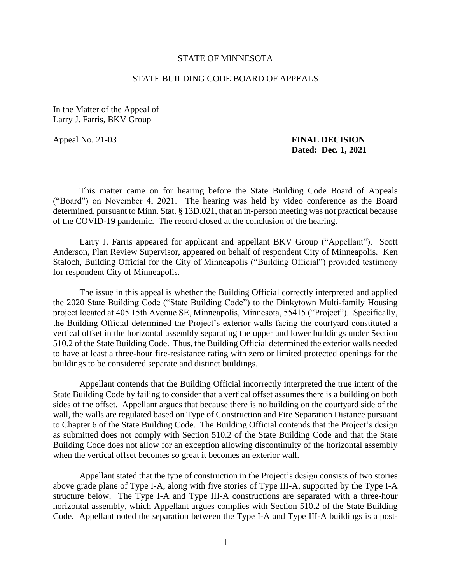## STATE OF MINNESOTA

## STATE BUILDING CODE BOARD OF APPEALS

In the Matter of the Appeal of Larry J. Farris, BKV Group

## Appeal No. 21-03 **FINAL DECISION Dated: Dec. 1, 2021**

This matter came on for hearing before the State Building Code Board of Appeals ("Board") on November 4, 2021. The hearing was held by video conference as the Board determined, pursuant to Minn. Stat. § 13D.021, that an in-person meeting was not practical because of the COVID-19 pandemic. The record closed at the conclusion of the hearing.

 Larry J. Farris appeared for applicant and appellant BKV Group ("Appellant"). Scott Anderson, Plan Review Supervisor, appeared on behalf of respondent City of Minneapolis. Ken Staloch, Building Official for the City of Minneapolis ("Building Official") provided testimony for respondent City of Minneapolis.

 The issue in this appeal is whether the Building Official correctly interpreted and applied the 2020 State Building Code ("State Building Code") to the Dinkytown Multi-family Housing project located at 405 15th Avenue SE, Minneapolis, Minnesota, 55415 ("Project"). Specifically, vertical offset in the horizontal assembly separating the upper and lower buildings under Section the Building Official determined the Project's exterior walls facing the courtyard constituted a 510.2 of the State Building Code. Thus, the Building Official determined the exterior walls needed to have at least a three-hour fire-resistance rating with zero or limited protected openings for the buildings to be considered separate and distinct buildings.

 as submitted does not comply with Section 510.2 of the State Building Code and that the State Appellant contends that the Building Official incorrectly interpreted the true intent of the State Building Code by failing to consider that a vertical offset assumes there is a building on both sides of the offset. Appellant argues that because there is no building on the courtyard side of the wall, the walls are regulated based on Type of Construction and Fire Separation Distance pursuant to Chapter 6 of the State Building Code. The Building Official contends that the Project's design Building Code does not allow for an exception allowing discontinuity of the horizontal assembly when the vertical offset becomes so great it becomes an exterior wall.

Appellant stated that the type of construction in the Project's design consists of two stories above grade plane of Type I-A, along with five stories of Type III-A, supported by the Type I-A structure below. The Type I-A and Type III-A constructions are separated with a three-hour horizontal assembly, which Appellant argues complies with Section 510.2 of the State Building Code. Appellant noted the separation between the Type I-A and Type III-A buildings is a post-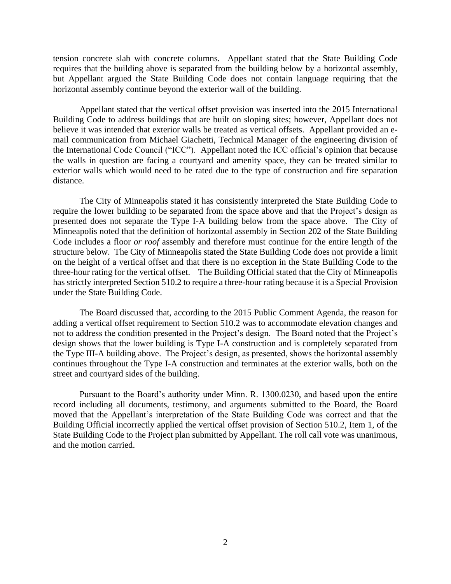tension concrete slab with concrete columns. Appellant stated that the State Building Code requires that the building above is separated from the building below by a horizontal assembly, but Appellant argued the State Building Code does not contain language requiring that the horizontal assembly continue beyond the exterior wall of the building.

 Building Code to address buildings that are built on sloping sites; however, Appellant does not believe it was intended that exterior walls be treated as vertical offsets. Appellant provided an e- the International Code Council ("ICC"). Appellant noted the ICC official's opinion that because the walls in question are facing a courtyard and amenity space, they can be treated similar to Appellant stated that the vertical offset provision was inserted into the 2015 International mail communication from Michael Giachetti, Technical Manager of the engineering division of exterior walls which would need to be rated due to the type of construction and fire separation distance.

 Minneapolis noted that the definition of horizontal assembly in Section 202 of the State Building  Code includes a floor *or roof* assembly and therefore must continue for the entire length of the on the height of a vertical offset and that there is no exception in the State Building Code to the three-hour rating for the vertical offset. The Building Official stated that the City of Minneapolis The City of Minneapolis stated it has consistently interpreted the State Building Code to require the lower building to be separated from the space above and that the Project's design as presented does not separate the Type I-A building below from the space above. The City of structure below. The City of Minneapolis stated the State Building Code does not provide a limit has strictly interpreted Section 510.2 to require a three-hour rating because it is a Special Provision under the State Building Code.

 The Board discussed that, according to the 2015 Public Comment Agenda, the reason for adding a vertical offset requirement to Section 510.2 was to accommodate elevation changes and not to address the condition presented in the Project's design. The Board noted that the Project's the Type III-A building above. The Project's design, as presented, shows the horizontal assembly continues throughout the Type I-A construction and terminates at the exterior walls, both on the design shows that the lower building is Type I-A construction and is completely separated from street and courtyard sides of the building.

 record including all documents, testimony, and arguments submitted to the Board, the Board Pursuant to the Board's authority under Minn. R. 1300.0230, and based upon the entire moved that the Appellant's interpretation of the State Building Code was correct and that the Building Official incorrectly applied the vertical offset provision of Section 510.2, Item 1, of the State Building Code to the Project plan submitted by Appellant. The roll call vote was unanimous, and the motion carried.